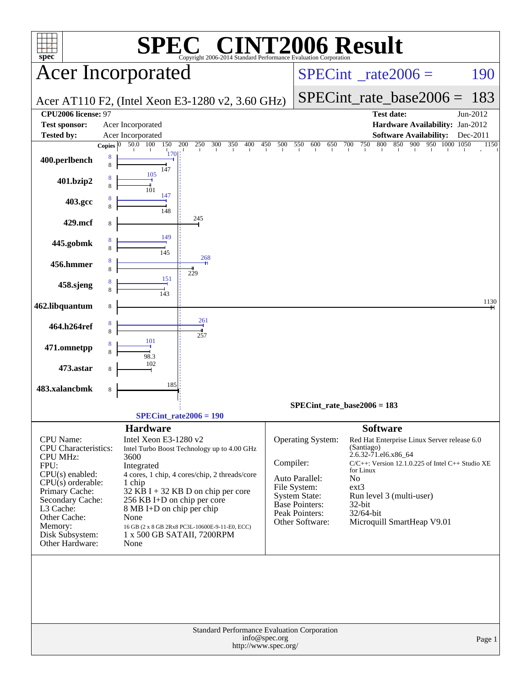| $spec^*$                                 | <b>C® CINT2006 Result</b><br><b>SPE</b><br>Copyright 2006-2014 Standard Performance Evaluation Corporation |                                 |                                  |                      |                                                       |          |
|------------------------------------------|------------------------------------------------------------------------------------------------------------|---------------------------------|----------------------------------|----------------------|-------------------------------------------------------|----------|
|                                          | <b>Acer Incorporated</b>                                                                                   |                                 | $SPECint^*_{\text{rate}} 2006 =$ |                      |                                                       | 190      |
|                                          | Acer AT110 F2, (Intel Xeon E3-1280 v2, 3.60 GHz)                                                           |                                 |                                  |                      | $SPECint_rate_base2006 =$                             | 183      |
| CPU2006 license: 97                      |                                                                                                            |                                 |                                  |                      | <b>Test date:</b>                                     | Jun-2012 |
| <b>Test sponsor:</b>                     | Acer Incorporated                                                                                          |                                 |                                  |                      | Hardware Availability: Jan-2012                       |          |
| <b>Tested by:</b>                        | Acer Incorporated                                                                                          |                                 |                                  |                      | <b>Software Availability:</b>                         | Dec-2011 |
|                                          | 50.0 100<br>150<br>200<br>$250$ 300 350 400 450 500 550<br>Copies $ 0\rangle$                              |                                 |                                  |                      | 600 650 700 750 800 850 900 950 1000 1050             | 1150     |
| 400.perlbench                            | <b>170</b><br>8<br>8<br>147                                                                                |                                 |                                  |                      |                                                       |          |
| 401.bzip2                                | 105<br>8<br>8<br>101<br>147                                                                                |                                 |                                  |                      |                                                       |          |
| 403.gcc                                  | 8<br>8<br>148                                                                                              |                                 |                                  |                      |                                                       |          |
| 429.mcf                                  | 245<br>8<br>149                                                                                            |                                 |                                  |                      |                                                       |          |
| 445.gobmk                                | 8<br>8<br>145<br>268                                                                                       |                                 |                                  |                      |                                                       |          |
| 456.hmmer                                | 8<br>8<br>229<br>151                                                                                       |                                 |                                  |                      |                                                       |          |
| 458.sjeng                                | 8<br>8<br>$\frac{1}{143}$                                                                                  |                                 |                                  |                      |                                                       | 1130     |
| 462.libquantum                           | $\,$ 8 $\,$                                                                                                |                                 |                                  |                      |                                                       |          |
| 464.h264ref                              | 261<br>8<br>8<br>257                                                                                       |                                 |                                  |                      |                                                       |          |
| 471.omnetpp                              | 101<br>8<br>8<br>98.3                                                                                      |                                 |                                  |                      |                                                       |          |
| 473.astar                                | 102<br>8                                                                                                   |                                 |                                  |                      |                                                       |          |
| 483.xalancbmk                            | 185<br>8                                                                                                   |                                 |                                  |                      |                                                       |          |
|                                          |                                                                                                            |                                 | SPECint rate base $2006 = 183$   |                      |                                                       |          |
|                                          | $SPECint_rate2006 = 190$                                                                                   |                                 |                                  |                      |                                                       |          |
|                                          |                                                                                                            |                                 |                                  |                      |                                                       |          |
|                                          | <b>Hardware</b>                                                                                            |                                 |                                  | <b>Software</b>      |                                                       |          |
| CPU Name:<br><b>CPU</b> Characteristics: | Intel Xeon E3-1280 v2<br>Intel Turbo Boost Technology up to 4.00 GHz                                       |                                 | Operating System:                | (Santiago)           | Red Hat Enterprise Linux Server release 6.0           |          |
| <b>CPU MHz:</b>                          | 3600                                                                                                       |                                 |                                  | 2.6.32-71.el6.x86_64 |                                                       |          |
| FPU:                                     | Integrated                                                                                                 | Compiler:                       |                                  | for Linux            | $C/C++$ : Version 12.1.0.225 of Intel $C++$ Studio XE |          |
| $CPU(s)$ enabled:                        | 4 cores, 1 chip, 4 cores/chip, 2 threads/core                                                              | Auto Parallel:                  | No                               |                      |                                                       |          |
| $CPU(s)$ orderable:<br>Primary Cache:    | 1 chip<br>$32$ KB I + 32 KB D on chip per core                                                             | File System:                    |                                  | $ext{3}$             |                                                       |          |
| Secondary Cache:                         | 256 KB I+D on chip per core                                                                                | System State:<br>Base Pointers: |                                  |                      | Run level 3 (multi-user)                              |          |
| L3 Cache:                                | 8 MB I+D on chip per chip                                                                                  | Peak Pointers:                  |                                  | 32-bit<br>32/64-bit  |                                                       |          |
| Other Cache:<br>Memory:                  | None                                                                                                       | Other Software:                 |                                  |                      | Microquill SmartHeap V9.01                            |          |
| Disk Subsystem:<br>Other Hardware:       | 16 GB (2 x 8 GB 2Rx8 PC3L-10600E-9-11-E0, ECC)<br>1 x 500 GB SATAII, 7200RPM<br>None                       |                                 |                                  |                      |                                                       |          |
|                                          | Standard Performance Evaluation Corporation                                                                | info@spec.org                   |                                  |                      |                                                       |          |
|                                          |                                                                                                            | http://www.spec.org/            |                                  |                      |                                                       | Page 1   |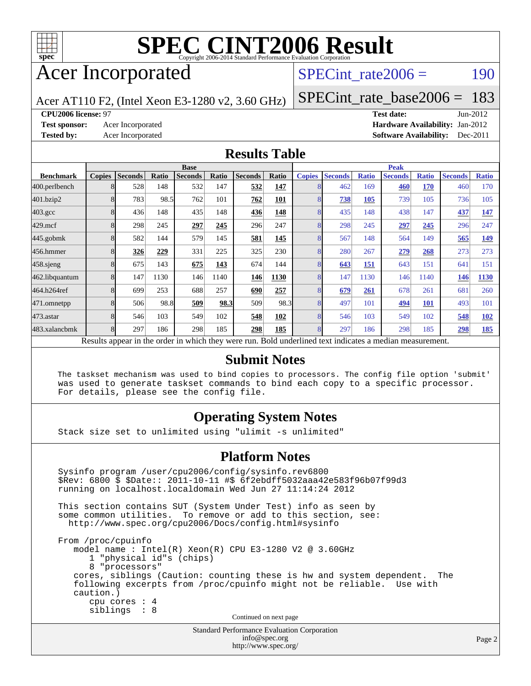

# Acer Incorporated

### SPECint rate $2006 = 190$

Acer AT110 F2, (Intel Xeon E3-1280 v2, 3.60 GHz)

[SPECint\\_rate\\_base2006 =](http://www.spec.org/auto/cpu2006/Docs/result-fields.html#SPECintratebase2006) 183

#### **[CPU2006 license:](http://www.spec.org/auto/cpu2006/Docs/result-fields.html#CPU2006license)** 97 **[Test date:](http://www.spec.org/auto/cpu2006/Docs/result-fields.html#Testdate)** Jun-2012

**[Test sponsor:](http://www.spec.org/auto/cpu2006/Docs/result-fields.html#Testsponsor)** Acer Incorporated **Acceleration Acer Incorporated <b>[Hardware Availability:](http://www.spec.org/auto/cpu2006/Docs/result-fields.html#HardwareAvailability)** Jan-2012 **[Tested by:](http://www.spec.org/auto/cpu2006/Docs/result-fields.html#Testedby)** Acer Incorporated **[Software Availability:](http://www.spec.org/auto/cpu2006/Docs/result-fields.html#SoftwareAvailability)** Dec-2011

#### **[Results Table](http://www.spec.org/auto/cpu2006/Docs/result-fields.html#ResultsTable)**

|                                                                                                          | <b>Base</b>   |                |       |                |       | <b>Peak</b>    |       |               |                |              |                |              |                |              |
|----------------------------------------------------------------------------------------------------------|---------------|----------------|-------|----------------|-------|----------------|-------|---------------|----------------|--------------|----------------|--------------|----------------|--------------|
| <b>Benchmark</b>                                                                                         | <b>Copies</b> | <b>Seconds</b> | Ratio | <b>Seconds</b> | Ratio | <b>Seconds</b> | Ratio | <b>Copies</b> | <b>Seconds</b> | <b>Ratio</b> | <b>Seconds</b> | <b>Ratio</b> | <b>Seconds</b> | <b>Ratio</b> |
| 400.perlbench                                                                                            |               | 528            | 148   | 532            | 147   | 532            | 147   |               | 462            | 169          | 460            | 170          | 460            | 170          |
| 401.bzip2                                                                                                |               | 783            | 98.5  | 762            | 101   | 762            | 101   |               | 738            | 105          | 739            | 105          | 736            | 105          |
| $403.\mathrm{gcc}$                                                                                       |               | 436            | 148   | 435            | 148   | 436            | 148   |               | 435            | 148          | 438            | 147          | 437            | 147          |
| $429$ .mcf                                                                                               |               | 298            | 245   | 297            | 245   | 296            | 247   |               | 298            | 245          | 297            | 245          | 296            | 247          |
| $445$ .gobmk                                                                                             |               | 582            | 144   | 579            | 145   | 581            | 145   |               | 567            | 148          | 564            | 149          | 565            | 149          |
| 456.hmmer                                                                                                |               | 326            | 229   | 331            | 225   | 325            | 230   |               | 280            | 267          | 279            | 268          | 273            | 273          |
| $458$ .sjeng                                                                                             |               | 675            | 143   | 675            | 143   | 674            | 144   |               | 643            | <u>151</u>   | 643            | 151          | 641            | 151          |
| 462.libquantum                                                                                           |               | 147            | 1130  | 146            | 1140  | 146            | 1130  | 8             | 147            | 1130         | 146            | 1140         | 146            | <b>1130</b>  |
| 464.h264ref                                                                                              |               | 699            | 253   | 688            | 257   | 690            | 257   |               | 679            | 261          | 678            | 261          | 681            | 260          |
| 471.omnetpp                                                                                              |               | 506            | 98.8  | 509            | 98.3  | 509            | 98.3  |               | 497            | 101          | 494            | <b>101</b>   | 493            | 101          |
| $473$ . astar                                                                                            |               | 546            | 103   | 549            | 102   | 548            | 102   |               | 546            | 103          | 549            | 102          | 548            | <u>102</u>   |
| 483.xalancbmk                                                                                            |               | 297            | 186   | 298            | 185   | 298            | 185   | 8             | 297            | 186          | 298            | 185          | 298            | 185          |
| Results appear in the order in which they were run. Bold underlined text indicates a median measurement. |               |                |       |                |       |                |       |               |                |              |                |              |                |              |

#### **[Submit Notes](http://www.spec.org/auto/cpu2006/Docs/result-fields.html#SubmitNotes)**

 The taskset mechanism was used to bind copies to processors. The config file option 'submit' was used to generate taskset commands to bind each copy to a specific processor. For details, please see the config file.

### **[Operating System Notes](http://www.spec.org/auto/cpu2006/Docs/result-fields.html#OperatingSystemNotes)**

Stack size set to unlimited using "ulimit -s unlimited"

#### **[Platform Notes](http://www.spec.org/auto/cpu2006/Docs/result-fields.html#PlatformNotes)**

 Sysinfo program /user/cpu2006/config/sysinfo.rev6800 \$Rev: 6800 \$ \$Date:: 2011-10-11 #\$ 6f2ebdff5032aaa42e583f96b07f99d3 running on localhost.localdomain Wed Jun 27 11:14:24 2012 This section contains SUT (System Under Test) info as seen by some common utilities. To remove or add to this section, see: <http://www.spec.org/cpu2006/Docs/config.html#sysinfo> From /proc/cpuinfo model name : Intel(R) Xeon(R) CPU E3-1280 V2 @ 3.60GHz 1 "physical id"s (chips) 8 "processors" cores, siblings (Caution: counting these is hw and system dependent. The following excerpts from /proc/cpuinfo might not be reliable. Use with caution.) cpu cores : 4 siblings : 8 Continued on next page

Standard Performance Evaluation Corporation [info@spec.org](mailto:info@spec.org) <http://www.spec.org/>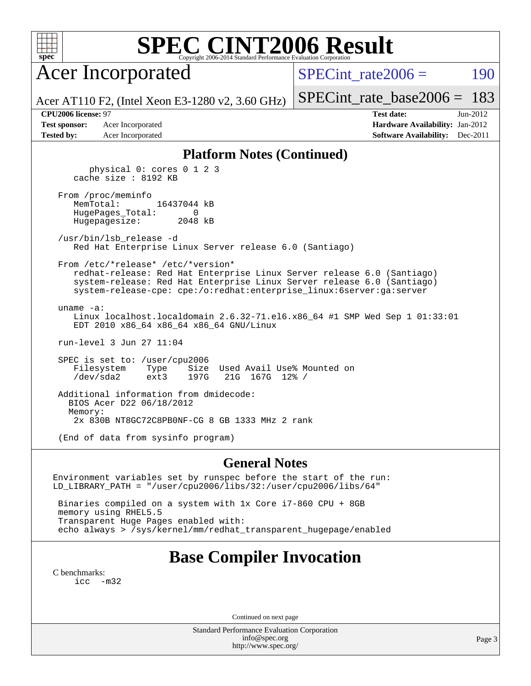| ۰ |  |  |  |  |  |  |  |
|---|--|--|--|--|--|--|--|

Acer Incorporated

SPECint rate $2006 = 190$ 

Acer AT110 F2, (Intel Xeon E3-1280 v2, 3.60 GHz)

[SPECint\\_rate\\_base2006 =](http://www.spec.org/auto/cpu2006/Docs/result-fields.html#SPECintratebase2006) 183

**[CPU2006 license:](http://www.spec.org/auto/cpu2006/Docs/result-fields.html#CPU2006license)** 97 **[Test date:](http://www.spec.org/auto/cpu2006/Docs/result-fields.html#Testdate)** Jun-2012 **[Test sponsor:](http://www.spec.org/auto/cpu2006/Docs/result-fields.html#Testsponsor)** Acer Incorporated **Acceleration Acer Incorporated <b>[Hardware Availability:](http://www.spec.org/auto/cpu2006/Docs/result-fields.html#HardwareAvailability)** Jan-2012 **[Tested by:](http://www.spec.org/auto/cpu2006/Docs/result-fields.html#Testedby)** Acer Incorporated **[Software Availability:](http://www.spec.org/auto/cpu2006/Docs/result-fields.html#SoftwareAvailability)** Dec-2011

#### **[Platform Notes \(Continued\)](http://www.spec.org/auto/cpu2006/Docs/result-fields.html#PlatformNotes)**

 physical 0: cores 0 1 2 3 cache size : 8192 KB

 From /proc/meminfo MemTotal: 16437044 kB HugePages\_Total: 0 Hugepagesize: 2048 kB

 /usr/bin/lsb\_release -d Red Hat Enterprise Linux Server release 6.0 (Santiago)

From /etc/\*release\* /etc/\*version\*

 redhat-release: Red Hat Enterprise Linux Server release 6.0 (Santiago) system-release: Red Hat Enterprise Linux Server release 6.0 (Santiago) system-release-cpe: cpe:/o:redhat:enterprise\_linux:6server:ga:server

 uname -a: Linux localhost.localdomain 2.6.32-71.el6.x86\_64 #1 SMP Wed Sep 1 01:33:01 EDT 2010 x86\_64 x86\_64 x86\_64 GNU/Linux

run-level 3 Jun 27 11:04

 SPEC is set to: /user/cpu2006 Filesystem Type Size Used Avail Use% Mounted on /dev/sda2 ext3 197G 21G 167G 12% /

 Additional information from dmidecode: BIOS Acer D22 06/18/2012 Memory: 2x 830B NT8GC72C8PB0NF-CG 8 GB 1333 MHz 2 rank (End of data from sysinfo program)

#### **[General Notes](http://www.spec.org/auto/cpu2006/Docs/result-fields.html#GeneralNotes)**

Environment variables set by runspec before the start of the run: LD\_LIBRARY\_PATH = "/user/cpu2006/libs/32:/user/cpu2006/libs/64"

 Binaries compiled on a system with 1x Core i7-860 CPU + 8GB memory using RHEL5.5 Transparent Huge Pages enabled with: echo always > /sys/kernel/mm/redhat\_transparent\_hugepage/enabled

## **[Base Compiler Invocation](http://www.spec.org/auto/cpu2006/Docs/result-fields.html#BaseCompilerInvocation)**

[C benchmarks](http://www.spec.org/auto/cpu2006/Docs/result-fields.html#Cbenchmarks): [icc -m32](http://www.spec.org/cpu2006/results/res2012q3/cpu2006-20120711-23587.flags.html#user_CCbase_intel_icc_5ff4a39e364c98233615fdd38438c6f2)

Continued on next page

Standard Performance Evaluation Corporation [info@spec.org](mailto:info@spec.org) <http://www.spec.org/>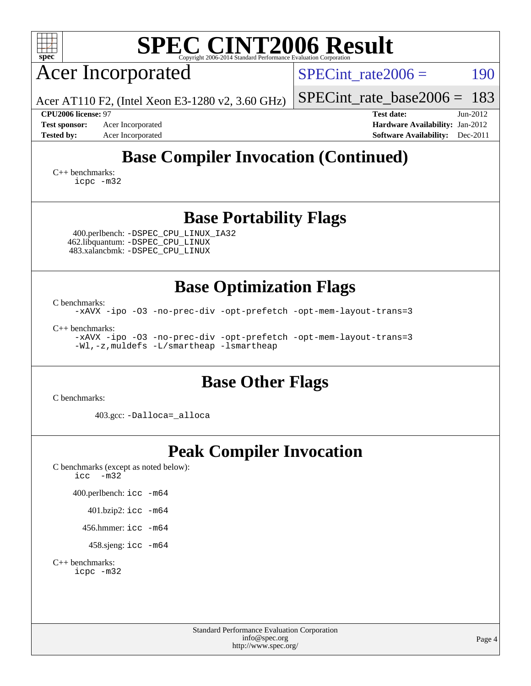| <b>SPEC CINT2006 Result</b><br>$spec^*$<br>Copyright 2006-2014 Standard Performance Evalua                                            |                                                                    |
|---------------------------------------------------------------------------------------------------------------------------------------|--------------------------------------------------------------------|
| <b>Acer Incorporated</b>                                                                                                              | 190<br>$SPECint rate 2006 =$                                       |
| Acer AT110 F2, (Intel Xeon E3-1280 v2, 3.60 GHz)                                                                                      | 183<br>$SPECint_rate_base2006 =$                                   |
| CPU2006 license: 97<br><b>Test sponsor:</b><br>Acer Incorporated                                                                      | <b>Test date:</b><br>$Jun-2012$<br>Hardware Availability: Jan-2012 |
| <b>Tested by:</b><br>Acer Incorporated                                                                                                | <b>Software Availability:</b><br>Dec-2011                          |
| <b>Base Compiler Invocation (Continued)</b>                                                                                           |                                                                    |
| $C_{++}$ benchmarks:<br>icpc -m32                                                                                                     |                                                                    |
| <b>Base Portability Flags</b>                                                                                                         |                                                                    |
| 400.perlbench: -DSPEC_CPU_LINUX_IA32<br>462.libquantum: -DSPEC_CPU_LINUX<br>483.xalancbmk: -DSPEC_CPU_LINUX                           |                                                                    |
| <b>Base Optimization Flags</b>                                                                                                        |                                                                    |
| C benchmarks:<br>-xAVX -ipo -03 -no-prec-div -opt-prefetch -opt-mem-layout-trans=3                                                    |                                                                    |
| $C_{++}$ benchmarks:<br>-xAVX -ipo -03 -no-prec-div -opt-prefetch -opt-mem-layout-trans=3<br>-Wl,-z, muldefs -L/smartheap -lsmartheap |                                                                    |
| <b>Base Other Flags</b>                                                                                                               |                                                                    |
| C benchmarks:                                                                                                                         |                                                                    |
| 403.gcc: -Dalloca=_alloca                                                                                                             |                                                                    |
| <b>Peak Compiler Invocation</b>                                                                                                       |                                                                    |
| C benchmarks (except as noted below):<br>$-m32$<br>icc                                                                                |                                                                    |
| 400.perlbench: icc -m64                                                                                                               |                                                                    |
| 401.bzip2: icc -m64                                                                                                                   |                                                                    |
| 456.hmmer: $\text{icc}$ -m64                                                                                                          |                                                                    |
| 458.sjeng: icc -m64                                                                                                                   |                                                                    |
| $C_{++}$ benchmarks:<br>icpc -m32                                                                                                     |                                                                    |
|                                                                                                                                       |                                                                    |
|                                                                                                                                       |                                                                    |
| <b>Standard Performance Evaluation Corporation</b><br>info@spec.org<br>http://www.spec.org/                                           | Page 4                                                             |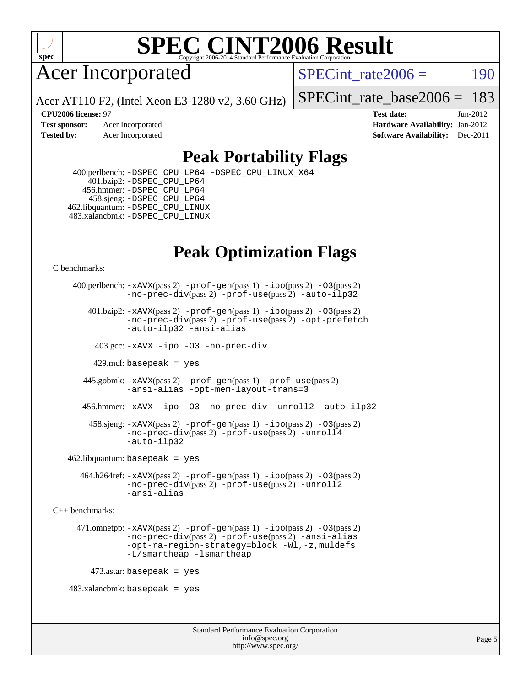

Acer Incorporated

SPECint rate $2006 = 190$ 

Acer AT110 F2, (Intel Xeon E3-1280 v2, 3.60 GHz)

[SPECint\\_rate\\_base2006 =](http://www.spec.org/auto/cpu2006/Docs/result-fields.html#SPECintratebase2006) 183

**[Test sponsor:](http://www.spec.org/auto/cpu2006/Docs/result-fields.html#Testsponsor)** Acer Incorporated **[Hardware Availability:](http://www.spec.org/auto/cpu2006/Docs/result-fields.html#HardwareAvailability)** Jan-2012 **[Tested by:](http://www.spec.org/auto/cpu2006/Docs/result-fields.html#Testedby)** Acer Incorporated **[Software Availability:](http://www.spec.org/auto/cpu2006/Docs/result-fields.html#SoftwareAvailability)** Dec-2011

**[CPU2006 license:](http://www.spec.org/auto/cpu2006/Docs/result-fields.html#CPU2006license)** 97 **[Test date:](http://www.spec.org/auto/cpu2006/Docs/result-fields.html#Testdate)** Jun-2012

## **[Peak Portability Flags](http://www.spec.org/auto/cpu2006/Docs/result-fields.html#PeakPortabilityFlags)**

 400.perlbench: [-DSPEC\\_CPU\\_LP64](http://www.spec.org/cpu2006/results/res2012q3/cpu2006-20120711-23587.flags.html#b400.perlbench_peakCPORTABILITY_DSPEC_CPU_LP64) [-DSPEC\\_CPU\\_LINUX\\_X64](http://www.spec.org/cpu2006/results/res2012q3/cpu2006-20120711-23587.flags.html#b400.perlbench_peakCPORTABILITY_DSPEC_CPU_LINUX_X64) 401.bzip2: [-DSPEC\\_CPU\\_LP64](http://www.spec.org/cpu2006/results/res2012q3/cpu2006-20120711-23587.flags.html#suite_peakCPORTABILITY401_bzip2_DSPEC_CPU_LP64) 456.hmmer: [-DSPEC\\_CPU\\_LP64](http://www.spec.org/cpu2006/results/res2012q3/cpu2006-20120711-23587.flags.html#suite_peakCPORTABILITY456_hmmer_DSPEC_CPU_LP64) 458.sjeng: [-DSPEC\\_CPU\\_LP64](http://www.spec.org/cpu2006/results/res2012q3/cpu2006-20120711-23587.flags.html#suite_peakCPORTABILITY458_sjeng_DSPEC_CPU_LP64) 462.libquantum: [-DSPEC\\_CPU\\_LINUX](http://www.spec.org/cpu2006/results/res2012q3/cpu2006-20120711-23587.flags.html#b462.libquantum_peakCPORTABILITY_DSPEC_CPU_LINUX) 483.xalancbmk: [-DSPEC\\_CPU\\_LINUX](http://www.spec.org/cpu2006/results/res2012q3/cpu2006-20120711-23587.flags.html#b483.xalancbmk_peakCXXPORTABILITY_DSPEC_CPU_LINUX)

# **[Peak Optimization Flags](http://www.spec.org/auto/cpu2006/Docs/result-fields.html#PeakOptimizationFlags)**

[C benchmarks](http://www.spec.org/auto/cpu2006/Docs/result-fields.html#Cbenchmarks):

```
 400.perlbench: -xAVX(pass 2) -prof-gen(pass 1) -ipo(pass 2) -O3(pass 2)
                -no-prec-div(pass 2) -prof-use(pass 2) -auto-ilp32
        401.bzip2: -xAVX(pass 2) -prof-gen(pass 1) -ipo(pass 2) -O3(pass 2)
                -no-prec-div(pass 2) -prof-use(pass 2) -opt-prefetch
                -auto-ilp32 -ansi-alias
          403.gcc: -xAVX -ipo -O3 -no-prec-div
         429.mcf: basepeak = yes
       445.gobmk: -xAVX(pass 2) -prof-gen(pass 1) -prof-use(pass 2)
                -ansi-alias -opt-mem-layout-trans=3
       456.hmmer: -xAVX -ipo -O3 -no-prec-div -unroll2 -auto-ilp32
         458.sjeng: -xAVX(pass 2) -prof-gen(pass 1) -ipo(pass 2) -O3(pass 2)
                -no-prec-div(pass 2) -prof-use(pass 2) -unroll4
                -auto-ilp32
   462.libquantum: basepeak = yes
       464.h264ref: -xAVX(pass 2) -prof-gen(pass 1) -ipo(pass 2) -O3(pass 2)
                -no-prec-div(pass 2) -prof-use(pass 2) -unroll2
                -ansi-alias
C++ benchmarks: 
      471.omnetpp: -xAVX(pass 2) -prof-gen(pass 1) -ipo(pass 2) -O3(pass 2)
                -no-prec-div(pass 2) -prof-use(pass 2) -ansi-alias
                -opt-ra-region-strategy=block -Wl,-z,muldefs
                -L/smartheap -lsmartheap
        473.astar: basepeak = yes
   483.xalanchmk: basepeak = yes
```